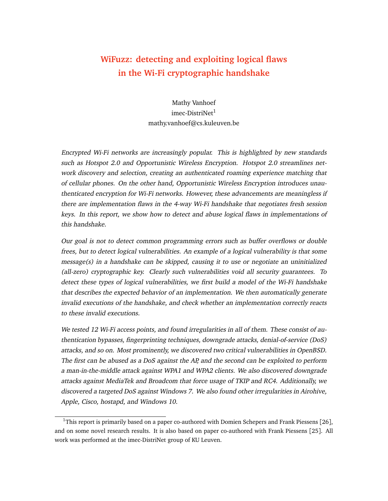# **WiFuzz: detecting and exploiting logical flaws in the Wi-Fi cryptographic handshake**

Mathy Vanhoef imec-DistriNet<sup>[1](#page-0-0)</sup> mathy.vanhoef@cs.kuleuven.be

Encrypted Wi-Fi networks are increasingly popular. This is highlighted by new standards such as Hotspot 2.0 and Opportunistic Wireless Encryption. Hotspot 2.0 streamlines network discovery and selection, creating an authenticated roaming experience matching that of cellular phones. On the other hand, Opportunistic Wireless Encryption introduces unauthenticated encryption for Wi-Fi networks. However, these advancements are meaningless if there are implementation flaws in the 4-way Wi-Fi handshake that negotiates fresh session keys. In this report, we show how to detect and abuse logical flaws in implementations of this handshake.

Our goal is not to detect common programming errors such as buffer overflows or double frees, but to detect logical vulnerabilities. An example of a logical vulnerability is that some message(s) in a handshake can be skipped, causing it to use or negotiate an uninitialized (all-zero) cryptographic key. Clearly such vulnerabilities void all security guarantees. To detect these types of logical vulnerabilities, we first build a model of the Wi-Fi handshake that describes the expected behavior of an implementation. We then automatically generate invalid executions of the handshake, and check whether an implementation correctly reacts to these invalid executions.

We tested 12 Wi-Fi access points, and found irregularities in all of them. These consist of authentication bypasses, fingerprinting techniques, downgrade attacks, denial-of-service (DoS) attacks, and so on. Most prominently, we discovered two critical vulnerabilities in OpenBSD. The first can be abused as a DoS against the AP, and the second can be exploited to perform a man-in-the-middle attack against WPA1 and WPA2 clients. We also discovered downgrade attacks against MediaTek and Broadcom that force usage of TKIP and RC4. Additionally, we discovered a targeted DoS against Windows 7. We also found other irregularities in Airohive, Apple, Cisco, hostapd, and Windows 10.

<span id="page-0-0"></span><sup>&</sup>lt;sup>1</sup>This report is primarily based on a paper co-authored with Domien Schepers and Frank Piessens [[26](#page-21-0)], and on some novel research results. It is also based on paper co-authored with Frank Piessens [[25](#page-21-1)]. All work was performed at the imec-DistriNet group of KU Leuven.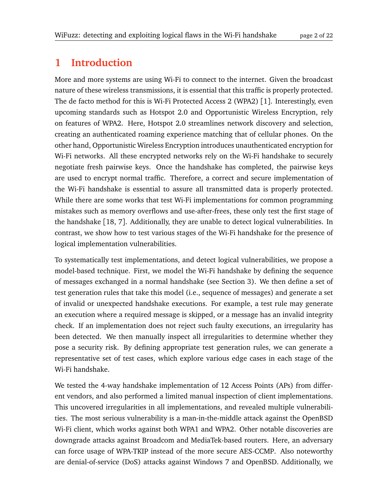# **1 Introduction**

More and more systems are using Wi-Fi to connect to the internet. Given the broadcast nature of these wireless transmissions, it is essential that this traffic is properly protected. The de facto method for this is Wi-Fi Protected Access 2 (WPA2) [[1](#page-19-0)]. Interestingly, even upcoming standards such as Hotspot 2.0 and Opportunistic Wireless Encryption, rely on features of WPA2. Here, Hotspot 2.0 streamlines network discovery and selection, creating an authenticated roaming experience matching that of cellular phones. On the other hand, Opportunistic Wireless Encryption introduces unauthenticated encryption for Wi-Fi networks. All these encrypted networks rely on the Wi-Fi handshake to securely negotiate fresh pairwise keys. Once the handshake has completed, the pairwise keys are used to encrypt normal traffic. Therefore, a correct and secure implementation of the Wi-Fi handshake is essential to assure all transmitted data is properly protected. While there are some works that test Wi-Fi implementations for common programming mistakes such as memory overflows and use-after-frees, these only test the first stage of the handshake [[18,](#page-20-0) [7](#page-19-1)]. Additionally, they are unable to detect logical vulnerabilities. In contrast, we show how to test various stages of the Wi-Fi handshake for the presence of logical implementation vulnerabilities.

To systematically test implementations, and detect logical vulnerabilities, we propose a model-based technique. First, we model the Wi-Fi handshake by defining the sequence of messages exchanged in a normal handshake (see Section [3\)](#page-3-0). We then define a set of test generation rules that take this model (i.e., sequence of messages) and generate a set of invalid or unexpected handshake executions. For example, a test rule may generate an execution where a required message is skipped, or a message has an invalid integrity check. If an implementation does not reject such faulty executions, an irregularity has been detected. We then manually inspect all irregularities to determine whether they pose a security risk. By defining appropriate test generation rules, we can generate a representative set of test cases, which explore various edge cases in each stage of the Wi-Fi handshake.

We tested the 4-way handshake implementation of 12 Access Points (APs) from different vendors, and also performed a limited manual inspection of client implementations. This uncovered irregularities in all implementations, and revealed multiple vulnerabilities. The most serious vulnerability is a man-in-the-middle attack against the OpenBSD Wi-Fi client, which works against both WPA1 and WPA2. Other notable discoveries are downgrade attacks against Broadcom and MediaTek-based routers. Here, an adversary can force usage of WPA-TKIP instead of the more secure AES-CCMP. Also noteworthy are denial-of-service (DoS) attacks against Windows 7 and OpenBSD. Additionally, we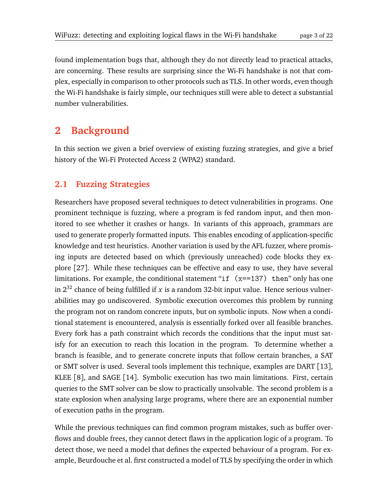found implementation bugs that, although they do not directly lead to practical attacks, are concerning. These results are surprising since the Wi-Fi handshake is not that complex, especially in comparison to other protocols such as TLS. In other words, even though the Wi-Fi handshake is fairly simple, our techniques still were able to detect a substantial number vulnerabilities.

# **2 Background**

In this section we given a brief overview of existing fuzzing strategies, and give a brief history of the Wi-Fi Protected Access 2 (WPA2) standard.

#### **2.1 Fuzzing Strategies**

Researchers have proposed several techniques to detect vulnerabilities in programs. One prominent technique is fuzzing, where a program is fed random input, and then monitored to see whether it crashes or hangs. In variants of this approach, grammars are used to generate properly formatted inputs. This enables encoding of application-specific knowledge and test heuristics. Another variation is used by the AFL fuzzer, where promising inputs are detected based on which (previously unreached) code blocks they explore [[27](#page-21-3)]. While these techniques can be effective and easy to use, they have several limitations. For example, the conditional statement "if  $(x=137)$  then" only has one in  $2^{32}$  chance of being fulfilled if x is a random 32-bit input value. Hence serious vulnerabilities may go undiscovered. Symbolic execution overcomes this problem by running the program not on random concrete inputs, but on symbolic inputs. Now when a conditional statement is encountered, analysis is essentially forked over all feasible branches. Every fork has a path constraint which records the conditions that the input must satisfy for an execution to reach this location in the program. To determine whether a branch is feasible, and to generate concrete inputs that follow certain branches, a SAT or SMT solver is used. Several tools implement this technique, examples are DART [[13](#page-20-1)], KLEE [[8](#page-19-2)], and SAGE [[14](#page-20-2)]. Symbolic execution has two main limitations. First, certain queries to the SMT solver can be slow to practically unsolvable. The second problem is a state explosion when analysing large programs, where there are an exponential number of execution paths in the program.

While the previous techniques can find common program mistakes, such as buffer overflows and double frees, they cannot detect flaws in the application logic of a program. To detect those, we need a model that defines the expected behaviour of a program. For example, Beurdouche et al. first constructed a model of TLS by specifying the order in which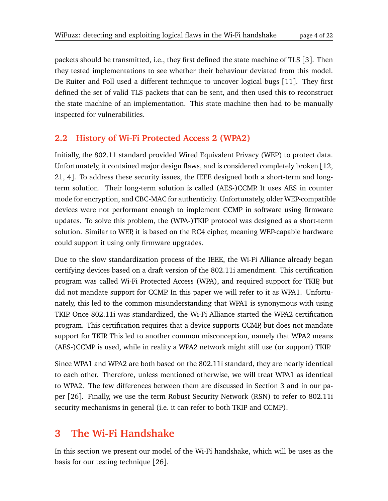packets should be transmitted, i.e., they first defined the state machine of TLS [[3](#page-19-3)]. Then they tested implementations to see whether their behaviour deviated from this model. De Ruiter and Poll used a different technique to uncover logical bugs [[11](#page-20-3)]. They first defined the set of valid TLS packets that can be sent, and then used this to reconstruct the state machine of an implementation. This state machine then had to be manually inspected for vulnerabilities.

#### **2.2 History of Wi-Fi Protected Access 2 (WPA2)**

Initially, the 802.11 standard provided Wired Equivalent Privacy (WEP) to protect data. Unfortunately, it contained major design flaws, and is considered completely broken [[12,](#page-20-4) [21,](#page-20-5) [4](#page-19-4)]. To address these security issues, the IEEE designed both a short-term and longterm solution. Their long-term solution is called (AES-)CCMP. It uses AES in counter mode for encryption, and CBC-MAC for authenticity. Unfortunately, older WEP-compatible devices were not performant enough to implement CCMP in software using firmware updates. To solve this problem, the (WPA-)TKIP protocol was designed as a short-term solution. Similar to WEP, it is based on the RC4 cipher, meaning WEP-capable hardware could support it using only firmware upgrades.

Due to the slow standardization process of the IEEE, the Wi-Fi Alliance already began certifying devices based on a draft version of the 802.11i amendment. This certification program was called Wi-Fi Protected Access (WPA), and required support for TKIP, but did not mandate support for CCMP. In this paper we will refer to it as WPA1. Unfortunately, this led to the common misunderstanding that WPA1 is synonymous with using TKIP. Once 802.11i was standardized, the Wi-Fi Alliance started the WPA2 certification program. This certification requires that a device supports CCMP, but does not mandate support for TKIP. This led to another common misconception, namely that WPA2 means (AES-)CCMP is used, while in reality a WPA2 network might still use (or support) TKIP.

Since WPA1 and WPA2 are both based on the 802.11i standard, they are nearly identical to each other. Therefore, unless mentioned otherwise, we will treat WPA1 as identical to WPA2. The few differences between them are discussed in Section [3](#page-3-0) and in our paper [[26](#page-21-0)]. Finally, we use the term Robust Security Network (RSN) to refer to 802.11i security mechanisms in general (i.e. it can refer to both TKIP and CCMP).

## <span id="page-3-0"></span>**3 The Wi-Fi Handshake**

In this section we present our model of the Wi-Fi handshake, which will be uses as the basis for our testing technique [[26](#page-21-0)].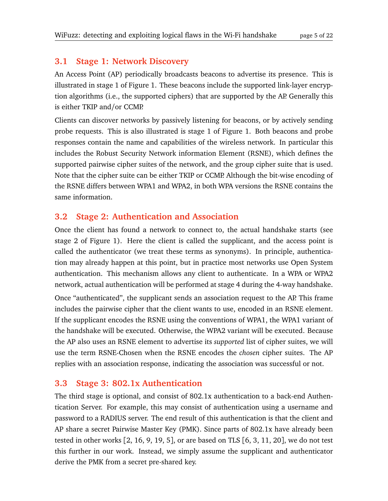#### **3.1 Stage 1: Network Discovery**

An Access Point (AP) periodically broadcasts beacons to advertise its presence. This is illustrated in stage 1 of Figure [1.](#page-5-0) These beacons include the supported link-layer encryption algorithms (i.e., the supported ciphers) that are supported by the AP. Generally this is either TKIP and/or CCMP.

Clients can discover networks by passively listening for beacons, or by actively sending probe requests. This is also illustrated is stage 1 of Figure [1.](#page-5-0) Both beacons and probe responses contain the name and capabilities of the wireless network. In particular this includes the Robust Security Network information Element (RSNE), which defines the supported pairwise cipher suites of the network, and the group cipher suite that is used. Note that the cipher suite can be either TKIP or CCMP. Although the bit-wise encoding of the RSNE differs between WPA1 and WPA2, in both WPA versions the RSNE contains the same information.

#### **3.2 Stage 2: Authentication and Association**

Once the client has found a network to connect to, the actual handshake starts (see stage 2 of Figure [1\)](#page-5-0). Here the client is called the supplicant, and the access point is called the authenticator (we treat these terms as synonyms). In principle, authentication may already happen at this point, but in practice most networks use Open System authentication. This mechanism allows any client to authenticate. In a WPA or WPA2 network, actual authentication will be performed at stage 4 during the 4-way handshake.

Once "authenticated", the supplicant sends an association request to the AP. This frame includes the pairwise cipher that the client wants to use, encoded in an RSNE element. If the supplicant encodes the RSNE using the conventions of WPA1, the WPA1 variant of the handshake will be executed. Otherwise, the WPA2 variant will be executed. Because the AP also uses an RSNE element to advertise its *supported* list of cipher suites, we will use the term RSNE-Chosen when the RSNE encodes the *chosen* cipher suites. The AP replies with an association response, indicating the association was successful or not.

#### **3.3 Stage 3: 802.1x Authentication**

<span id="page-4-0"></span>The third stage is optional, and consist of 802.1x authentication to a back-end Authentication Server. For example, this may consist of authentication using a username and password to a RADIUS server. The end result of this authentication is that the client and AP share a secret Pairwise Master Key (PMK). Since parts of 802.1x have already been tested in other works  $[2, 16, 9, 19, 5]$  $[2, 16, 9, 19, 5]$  $[2, 16, 9, 19, 5]$  $[2, 16, 9, 19, 5]$  $[2, 16, 9, 19, 5]$  $[2, 16, 9, 19, 5]$  $[2, 16, 9, 19, 5]$ , or are based on TLS  $[6, 3, 11, 20]$  $[6, 3, 11, 20]$  $[6, 3, 11, 20]$  $[6, 3, 11, 20]$  $[6, 3, 11, 20]$  $[6, 3, 11, 20]$ , we do not test this further in our work. Instead, we simply assume the supplicant and authenticator derive the PMK from a secret pre-shared key.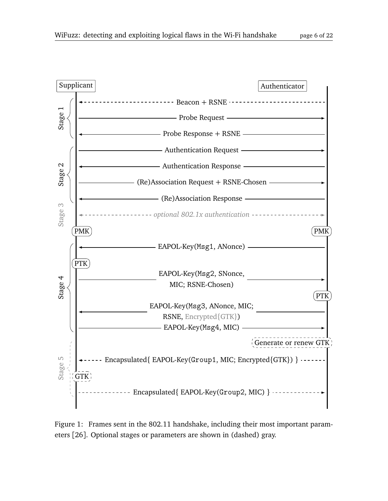



<span id="page-5-0"></span>Figure 1: Frames sent in the 802.11 handshake, including their most important parameters [[26](#page-21-0)]. Optional stages or parameters are shown in (dashed) gray.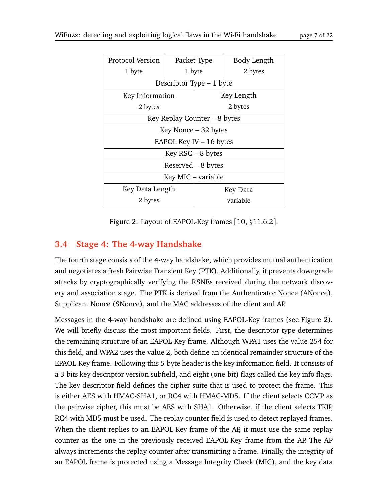| Protocol Version             | Packet Type               |         | Body Length     |  |
|------------------------------|---------------------------|---------|-----------------|--|
| 1 byte                       | 1 byte                    |         | 2 bytes         |  |
| Descriptor Type – 1 byte     |                           |         |                 |  |
|                              | Key Information           |         | Key Length      |  |
| 2 bytes                      |                           | 2 bytes |                 |  |
| Key Replay Counter – 8 bytes |                           |         |                 |  |
|                              | Key Nonce $-32$ bytes     |         |                 |  |
|                              | EAPOL Key IV $-$ 16 bytes |         |                 |  |
| $Key RSC - 8 bytes$          |                           |         |                 |  |
| Reserved $-8$ bytes          |                           |         |                 |  |
|                              | Key MIC – variable        |         |                 |  |
| Key Data Length              |                           |         | <b>Key Data</b> |  |
| 2 bytes                      |                           |         | variable        |  |

<span id="page-6-0"></span>Figure 2: Layout of EAPOL-Key frames [[10,](#page-20-10) §11.6.2].

## **3.4 Stage 4: The 4-way Handshake**

The fourth stage consists of the 4-way handshake, which provides mutual authentication and negotiates a fresh Pairwise Transient Key (PTK). Additionally, it prevents downgrade attacks by cryptographically verifying the RSNEs received during the network discovery and association stage. The PTK is derived from the Authenticator Nonce (ANonce), Supplicant Nonce (SNonce), and the MAC addresses of the client and AP.

Messages in the 4-way handshake are defined using EAPOL-Key frames (see Figure [2\)](#page-6-0). We will briefly discuss the most important fields. First, the descriptor type determines the remaining structure of an EAPOL-Key frame. Although WPA1 uses the value 254 for this field, and WPA2 uses the value 2, both define an identical remainder structure of the EPAOL-Key frame. Following this 5-byte header is the key information field. It consists of a 3-bits key descriptor version subfield, and eight (one-bit) flags called the key info flags. The key descriptor field defines the cipher suite that is used to protect the frame. This is either AES with HMAC-SHA1, or RC4 with HMAC-MD5. If the client selects CCMP as the pairwise cipher, this must be AES with SHA1. Otherwise, if the client selects TKIP, RC4 with MD5 must be used. The replay counter field is used to detect replayed frames. When the client replies to an EAPOL-Key frame of the AP, it must use the same replay counter as the one in the previously received EAPOL-Key frame from the AP. The AP always increments the replay counter after transmitting a frame. Finally, the integrity of an EAPOL frame is protected using a Message Integrity Check (MIC), and the key data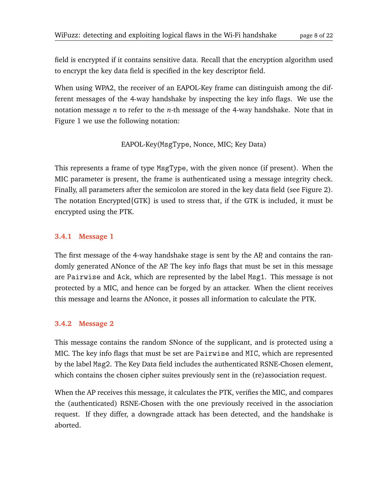field is encrypted if it contains sensitive data. Recall that the encryption algorithm used to encrypt the key data field is specified in the key descriptor field.

When using WPA2, the receiver of an EAPOL-Key frame can distinguish among the different messages of the 4-way handshake by inspecting the key info flags. We use the notation message *n* to refer to the *n*-th message of the 4-way handshake. Note that in Figure [1](#page-5-0) we use the following notation:

EAPOL-Key(MsgType, Nonce, MIC; Key Data)

This represents a frame of type MsgType, with the given nonce (if present). When the MIC parameter is present, the frame is authenticated using a message integrity check. Finally, all parameters after the semicolon are stored in the key data field (see Figure [2\)](#page-6-0). The notation Encrypted{GTK} is used to stress that, if the GTK is included, it must be encrypted using the PTK.

#### **3.4.1 Message 1**

The first message of the 4-way handshake stage is sent by the AP, and contains the randomly generated ANonce of the AP. The key info flags that must be set in this message are Pairwise and Ack, which are represented by the label Msg1. This message is not protected by a MIC, and hence can be forged by an attacker. When the client receives this message and learns the ANonce, it posses all information to calculate the PTK.

#### **3.4.2 Message 2**

This message contains the random SNonce of the supplicant, and is protected using a MIC. The key info flags that must be set are Pairwise and MIC, which are represented by the label Msg2. The Key Data field includes the authenticated RSNE-Chosen element, which contains the chosen cipher suites previously sent in the (re)association request.

When the AP receives this message, it calculates the PTK, verifies the MIC, and compares the (authenticated) RSNE-Chosen with the one previously received in the association request. If they differ, a downgrade attack has been detected, and the handshake is aborted.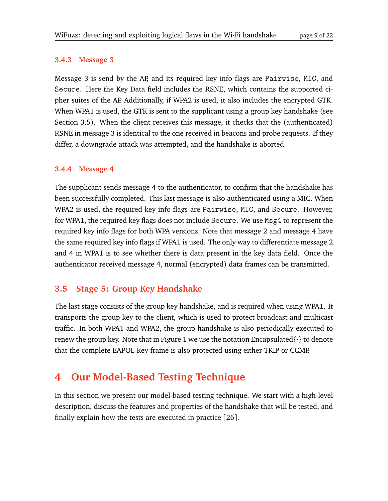#### **3.4.3 Message 3**

Message 3 is send by the AP, and its required key info flags are Pairwise, MIC, and Secure. Here the Key Data field includes the RSNE, which contains the supported cipher suites of the AP. Additionally, if WPA2 is used, it also includes the encrypted GTK. When WPA1 is used, the GTK is sent to the supplicant using a group key handshake (see Section [3.5\)](#page-8-0). When the client receives this message, it checks that the (authenticated) RSNE in message 3 is identical to the one received in beacons and probe requests. If they differ, a downgrade attack was attempted, and the handshake is aborted.

#### **3.4.4 Message 4**

The supplicant sends message 4 to the authenticator, to confirm that the handshake has been successfully completed. This last message is also authenticated using a MIC. When WPA2 is used, the required key info flags are Pairwise, MIC, and Secure. However, for WPA1, the required key flags does not include Secure. We use Msg4 to represent the required key info flags for both WPA versions. Note that message 2 and message 4 have the same required key info flags if WPA1 is used. The only way to differentiate message 2 and 4 in WPA1 is to see whether there is data present in the key data field. Once the authenticator received message 4, normal (encrypted) data frames can be transmitted.

#### <span id="page-8-0"></span>**3.5 Stage 5: Group Key Handshake**

The last stage consists of the group key handshake, and is required when using WPA1. It transports the group key to the client, which is used to protect broadcast and multicast traffic. In both WPA1 and WPA2, the group handshake is also periodically executed to renew the group key. Note that in Figure [1](#page-5-0) we use the notation Encapsulated $\{\cdot\}$  to denote that the complete EAPOL-Key frame is also protected using either TKIP or CCMP.

# **4 Our Model-Based Testing Technique**

In this section we present our model-based testing technique. We start with a high-level description, discuss the features and properties of the handshake that will be tested, and finally explain how the tests are executed in practice [[26](#page-21-0)].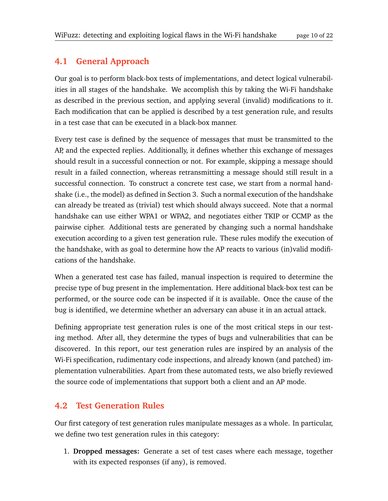## **4.1 General Approach**

Our goal is to perform black-box tests of implementations, and detect logical vulnerabilities in all stages of the handshake. We accomplish this by taking the Wi-Fi handshake as described in the previous section, and applying several (invalid) modifications to it. Each modification that can be applied is described by a test generation rule, and results in a test case that can be executed in a black-box manner.

Every test case is defined by the sequence of messages that must be transmitted to the AP, and the expected replies. Additionally, it defines whether this exchange of messages should result in a successful connection or not. For example, skipping a message should result in a failed connection, whereas retransmitting a message should still result in a successful connection. To construct a concrete test case, we start from a normal handshake (i.e., the model) as defined in Section [3.](#page-3-0) Such a normal execution of the handshake can already be treated as (trivial) test which should always succeed. Note that a normal handshake can use either WPA1 or WPA2, and negotiates either TKIP or CCMP as the pairwise cipher. Additional tests are generated by changing such a normal handshake execution according to a given test generation rule. These rules modify the execution of the handshake, with as goal to determine how the AP reacts to various (in)valid modifications of the handshake.

When a generated test case has failed, manual inspection is required to determine the precise type of bug present in the implementation. Here additional black-box test can be performed, or the source code can be inspected if it is available. Once the cause of the bug is identified, we determine whether an adversary can abuse it in an actual attack.

Defining appropriate test generation rules is one of the most critical steps in our testing method. After all, they determine the types of bugs and vulnerabilities that can be discovered. In this report, our test generation rules are inspired by an analysis of the Wi-Fi specification, rudimentary code inspections, and already known (and patched) implementation vulnerabilities. Apart from these automated tests, we also briefly reviewed the source code of implementations that support both a client and an AP mode.

## **4.2 Test Generation Rules**

Our first category of test generation rules manipulate messages as a whole. In particular, we define two test generation rules in this category:

1. **Dropped messages:** Generate a set of test cases where each message, together with its expected responses (if any), is removed.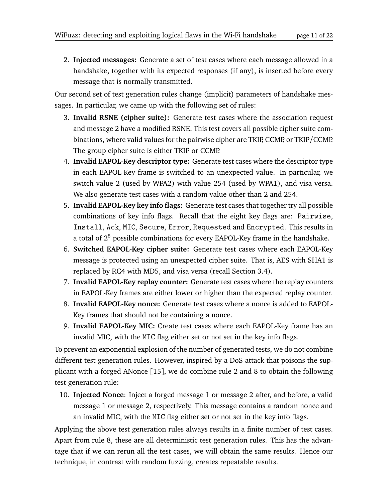<span id="page-10-0"></span>2. **Injected messages:** Generate a set of test cases where each message allowed in a handshake, together with its expected responses (if any), is inserted before every message that is normally transmitted.

Our second set of test generation rules change (implicit) parameters of handshake messages. In particular, we came up with the following set of rules:

- 3. **Invalid RSNE (cipher suite):** Generate test cases where the association request and message 2 have a modified RSNE. This test covers all possible cipher suite combinations, where valid values for the pairwise cipher are TKIP, CCMP, or TKIP/CCMP. The group cipher suite is either TKIP or CCMP.
- 4. **Invalid EAPOL-Key descriptor type:** Generate test cases where the descriptor type in each EAPOL-Key frame is switched to an unexpected value. In particular, we switch value 2 (used by WPA2) with value 254 (used by WPA1), and visa versa. We also generate test cases with a random value other than 2 and 254.
- 5. **Invalid EAPOL-Key key info flags:** Generate test cases that together try all possible combinations of key info flags. Recall that the eight key flags are: Pairwise, Install, Ack, MIC, Secure, Error, Requested and Encrypted. This results in a total of  $2^8$  possible combinations for every EAPOL-Key frame in the handshake.
- 6. **Switched EAPOL-Key cipher suite:** Generate test cases where each EAPOL-Key message is protected using an unexpected cipher suite. That is, AES with SHA1 is replaced by RC4 with MD5, and visa versa (recall Section [3.4\)](#page-4-0).
- 7. **Invalid EAPOL-Key replay counter:** Generate test cases where the replay counters in EAPOL-Key frames are either lower or higher than the expected replay counter.
- <span id="page-10-1"></span>8. **Invalid EAPOL-Key nonce:** Generate test cases where a nonce is added to EAPOL-Key frames that should not be containing a nonce.
- 9. **Invalid EAPOL-Key MIC:** Create test cases where each EAPOL-Key frame has an invalid MIC, with the MIC flag either set or not set in the key info flags.

To prevent an exponential explosion of the number of generated tests, we do not combine different test generation rules. However, inspired by a DoS attack that poisons the supplicant with a forged ANonce [[15](#page-20-11)], we do combine rule [2](#page-10-0) and [8](#page-10-1) to obtain the following test generation rule:

10. **Injected Nonce**: Inject a forged message 1 or message 2 after, and before, a valid message 1 or message 2, respectively. This message contains a random nonce and an invalid MIC, with the MIC flag either set or not set in the key info flags.

Applying the above test generation rules always results in a finite number of test cases. Apart from rule [8,](#page-10-1) these are all deterministic test generation rules. This has the advantage that if we can rerun all the test cases, we will obtain the same results. Hence our technique, in contrast with random fuzzing, creates repeatable results.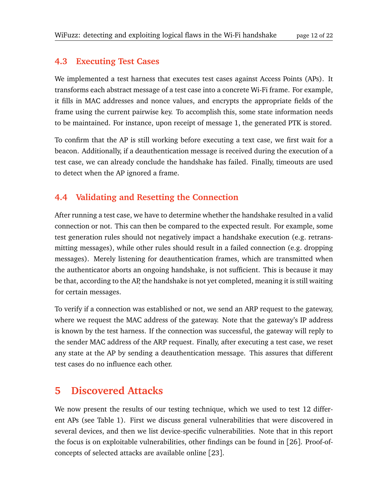### **4.3 Executing Test Cases**

We implemented a test harness that executes test cases against Access Points (APs). It transforms each abstract message of a test case into a concrete Wi-Fi frame. For example, it fills in MAC addresses and nonce values, and encrypts the appropriate fields of the frame using the current pairwise key. To accomplish this, some state information needs to be maintained. For instance, upon receipt of message 1, the generated PTK is stored.

To confirm that the AP is still working before executing a text case, we first wait for a beacon. Additionally, if a deauthentication message is received during the execution of a test case, we can already conclude the handshake has failed. Finally, timeouts are used to detect when the AP ignored a frame.

### **4.4 Validating and Resetting the Connection**

After running a test case, we have to determine whether the handshake resulted in a valid connection or not. This can then be compared to the expected result. For example, some test generation rules should not negatively impact a handshake execution (e.g. retransmitting messages), while other rules should result in a failed connection (e.g. dropping messages). Merely listening for deauthentication frames, which are transmitted when the authenticator aborts an ongoing handshake, is not sufficient. This is because it may be that, according to the AP, the handshake is not yet completed, meaning it is still waiting for certain messages.

To verify if a connection was established or not, we send an ARP request to the gateway, where we request the MAC address of the gateway. Note that the gateway's IP address is known by the test harness. If the connection was successful, the gateway will reply to the sender MAC address of the ARP request. Finally, after executing a test case, we reset any state at the AP by sending a deauthentication message. This assures that different test cases do no influence each other.

## **5 Discovered Attacks**

We now present the results of our testing technique, which we used to test 12 different APs (see Table [1\)](#page-12-0). First we discuss general vulnerabilities that were discovered in several devices, and then we list device-specific vulnerabilities. Note that in this report the focus is on exploitable vulnerabilities, other findings can be found in [[26](#page-21-0)]. Proof-ofconcepts of selected attacks are available online [[23](#page-21-4)].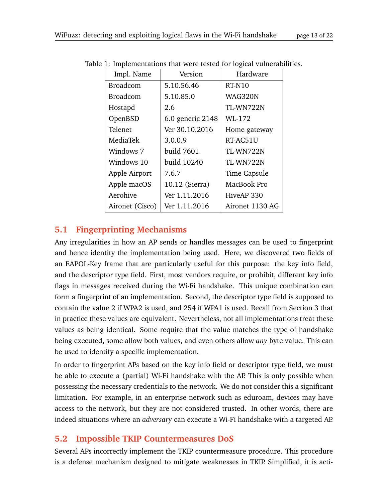<span id="page-12-0"></span>

| Impl. Name      | Version          | Hardware        |
|-----------------|------------------|-----------------|
| <b>Broadcom</b> | 5.10.56.46       | RT-N10          |
| <b>Broadcom</b> | 5.10.85.0        | WAG320N         |
| Hostapd         | 2.6              | TL-WN722N       |
| OpenBSD         | 6.0 generic 2148 | WL-172          |
| Telenet         | Ver 30.10.2016   | Home gateway    |
| MediaTek        | 3.0.0.9          | RT-AC51U        |
| Windows 7       | build 7601       | TL-WN722N       |
| Windows 10      | build 10240      | TL-WN722N       |
| Apple Airport   | 7.6.7            | Time Capsule    |
| Apple macOS     | 10.12 (Sierra)   | MacBook Pro     |
| Aerohive        | Ver 1.11.2016    | HiveAP 330      |
| Aironet (Cisco) | Ver 1.11.2016    | Aironet 1130 AG |
|                 |                  |                 |

Table 1: Implementations that were tested for logical vulnerabilities.

#### **5.1 Fingerprinting Mechanisms**

Any irregularities in how an AP sends or handles messages can be used to fingerprint and hence identity the implementation being used. Here, we discovered two fields of an EAPOL-Key frame that are particularly useful for this purpose: the key info field, and the descriptor type field. First, most vendors require, or prohibit, different key info flags in messages received during the Wi-Fi handshake. This unique combination can form a fingerprint of an implementation. Second, the descriptor type field is supposed to contain the value 2 if WPA2 is used, and 254 if WPA1 is used. Recall from Section [3](#page-3-0) that in practice these values are equivalent. Nevertheless, not all implementations treat these values as being identical. Some require that the value matches the type of handshake being executed, some allow both values, and even others allow *any* byte value. This can be used to identify a specific implementation.

In order to fingerprint APs based on the key info field or descriptor type field, we must be able to execute a (partial) Wi-Fi handshake with the AP. This is only possible when possessing the necessary credentials to the network. We do not consider this a significant limitation. For example, in an enterprise network such as eduroam, devices may have access to the network, but they are not considered trusted. In other words, there are indeed situations where an *adversary* can execute a Wi-Fi handshake with a targeted AP.

#### <span id="page-12-1"></span>**5.2 Impossible TKIP Countermeasures DoS**

Several APs incorrectly implement the TKIP countermeasure procedure. This procedure is a defense mechanism designed to mitigate weaknesses in TKIP. Simplified, it is acti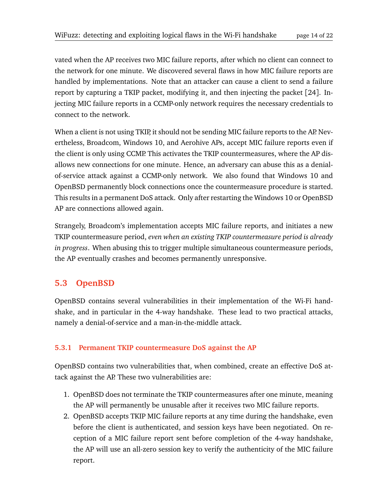vated when the AP receives two MIC failure reports, after which no client can connect to the network for one minute. We discovered several flaws in how MIC failure reports are handled by implementations. Note that an attacker can cause a client to send a failure report by capturing a TKIP packet, modifying it, and then injecting the packet [[24](#page-21-5)]. Injecting MIC failure reports in a CCMP-only network requires the necessary credentials to connect to the network.

When a client is not using TKIP, it should not be sending MIC failure reports to the AP. Nevertheless, Broadcom, Windows 10, and Aerohive APs, accept MIC failure reports even if the client is only using CCMP. This activates the TKIP countermeasures, where the AP disallows new connections for one minute. Hence, an adversary can abuse this as a denialof-service attack against a CCMP-only network. We also found that Windows 10 and OpenBSD permanently block connections once the countermeasure procedure is started. This results in a permanent DoS attack. Only after restarting the Windows 10 or OpenBSD AP are connections allowed again.

Strangely, Broadcom's implementation accepts MIC failure reports, and initiates a new TKIP countermeasure period, *even when an existing TKIP countermeasure period is already in progress*. When abusing this to trigger multiple simultaneous countermeasure periods, the AP eventually crashes and becomes permanently unresponsive.

## **5.3 OpenBSD**

OpenBSD contains several vulnerabilities in their implementation of the Wi-Fi handshake, and in particular in the 4-way handshake. These lead to two practical attacks, namely a denial-of-service and a man-in-the-middle attack.

#### **5.3.1 Permanent TKIP countermeasure DoS against the AP**

OpenBSD contains two vulnerabilities that, when combined, create an effective DoS attack against the AP. These two vulnerabilities are:

- 1. OpenBSD does not terminate the TKIP countermeasures after one minute, meaning the AP will permanently be unusable after it receives two MIC failure reports.
- 2. OpenBSD accepts TKIP MIC failure reports at any time during the handshake, even before the client is authenticated, and session keys have been negotiated. On reception of a MIC failure report sent before completion of the 4-way handshake, the AP will use an all-zero session key to verify the authenticity of the MIC failure report.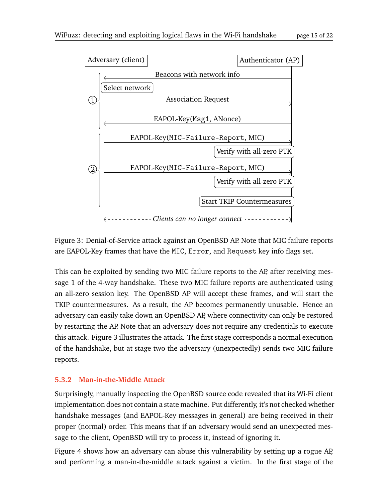

<span id="page-14-0"></span>Figure 3: Denial-of-Service attack against an OpenBSD AP. Note that MIC failure reports are EAPOL-Key frames that have the MIC, Error, and Request key info flags set.

This can be exploited by sending two MIC failure reports to the AP, after receiving message 1 of the 4-way handshake. These two MIC failure reports are authenticated using an all-zero session key. The OpenBSD AP will accept these frames, and will start the TKIP countermeasures. As a result, the AP becomes permanently unusable. Hence an adversary can easily take down an OpenBSD AP, where connectivity can only be restored by restarting the AP. Note that an adversary does not require any credentials to execute this attack. Figure [3](#page-14-0) illustrates the attack. The first stage corresponds a normal execution of the handshake, but at stage two the adversary (unexpectedly) sends two MIC failure reports.

#### **5.3.2 Man-in-the-Middle Attack**

Surprisingly, manually inspecting the OpenBSD source code revealed that its Wi-Fi client implementation does not contain a state machine. Put differently, it's not checked whether handshake messages (and EAPOL-Key messages in general) are being received in their proper (normal) order. This means that if an adversary would send an unexpected message to the client, OpenBSD will try to process it, instead of ignoring it.

Figure [4](#page-15-0) shows how an adversary can abuse this vulnerability by setting up a rogue AP, and performing a man-in-the-middle attack against a victim. In the first stage of the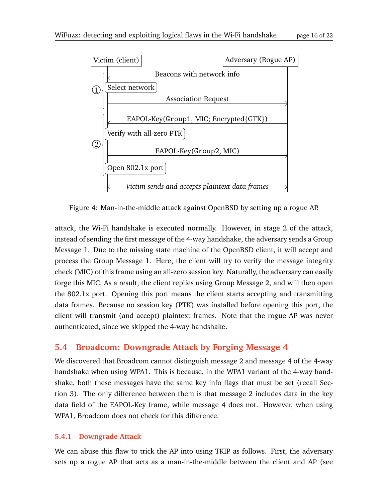

<span id="page-15-0"></span>Figure 4: Man-in-the-middle attack against OpenBSD by setting up a rogue AP.

attack, the Wi-Fi handshake is executed normally. However, in stage 2 of the attack, instead of sending the first message of the 4-way handshake, the adversary sends a Group Message 1. Due to the missing state machine of the OpenBSD client, it will accept and process the Group Message 1. Here, the client will try to verify the message integrity check (MIC) of this frame using an all-zero session key. Naturally, the adversary can easily forge this MIC. As a result, the client replies using Group Message 2, and will then open the 802.1x port. Opening this port means the client starts accepting and transmitting data frames. Because no session key (PTK) was installed before opening this port, the client will transmit (and accept) plaintext frames. Note that the rogue AP was never authenticated, since we skipped the 4-way handshake.

## **5.4 Broadcom: Downgrade Attack by Forging Message 4**

We discovered that Broadcom cannot distinguish message 2 and message 4 of the 4-way handshake when using WPA1. This is because, in the WPA1 variant of the 4-way handshake, both these messages have the same key info flags that must be set (recall Section [3\)](#page-3-0). The only difference between them is that message 2 includes data in the key data field of the EAPOL-Key frame, while message 4 does not. However, when using WPA1, Broadcom does not check for this difference.

#### **5.4.1 Downgrade Attack**

We can abuse this flaw to trick the AP into using TKIP as follows. First, the adversary sets up a rogue AP that acts as a man-in-the-middle between the client and AP (see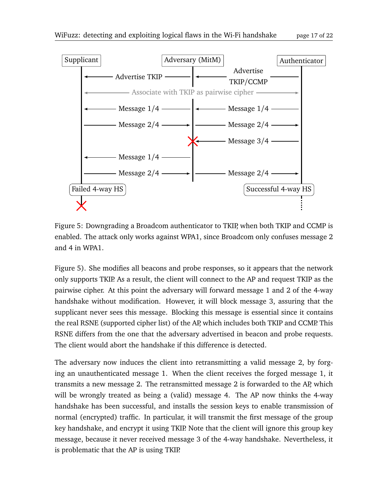

<span id="page-16-0"></span>Figure 5: Downgrading a Broadcom authenticator to TKIP, when both TKIP and CCMP is enabled. The attack only works against WPA1, since Broadcom only confuses message 2 and 4 in WPA1.

Figure [5\)](#page-16-0). She modifies all beacons and probe responses, so it appears that the network only supports TKIP. As a result, the client will connect to the AP and request TKIP as the pairwise cipher. At this point the adversary will forward message 1 and 2 of the 4-way handshake without modification. However, it will block message 3, assuring that the supplicant never sees this message. Blocking this message is essential since it contains the real RSNE (supported cipher list) of the AP, which includes both TKIP and CCMP. This RSNE differs from the one that the adversary advertised in beacon and probe requests. The client would abort the handshake if this difference is detected.

The adversary now induces the client into retransmitting a valid message 2, by forging an unauthenticated message 1. When the client receives the forged message 1, it transmits a new message 2. The retransmitted message 2 is forwarded to the AP, which will be wrongly treated as being a (valid) message 4. The AP now thinks the 4-way handshake has been successful, and installs the session keys to enable transmission of normal (encrypted) traffic. In particular, it will transmit the first message of the group key handshake, and encrypt it using TKIP. Note that the client will ignore this group key message, because it never received message 3 of the 4-way handshake. Nevertheless, it is problematic that the AP is using TKIP.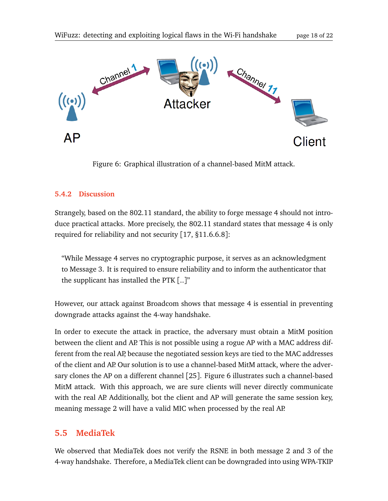

<span id="page-17-0"></span>Figure 6: Graphical illustration of a channel-based MitM attack.

#### **5.4.2 Discussion**

Strangely, based on the 802.11 standard, the ability to forge message 4 should not introduce practical attacks. More precisely, the 802.11 standard states that message 4 is only required for reliability and not security [[17,](#page-20-12) §11.6.6.8]:

"While Message 4 serves no cryptographic purpose, it serves as an acknowledgment to Message 3. It is required to ensure reliability and to inform the authenticator that the supplicant has installed the PTK  $\lceil .. \rceil$ "

However, our attack against Broadcom shows that message 4 is essential in preventing downgrade attacks against the 4-way handshake.

In order to execute the attack in practice, the adversary must obtain a MitM position between the client and AP. This is not possible using a rogue AP with a MAC address different from the real AP, because the negotiated session keys are tied to the MAC addresses of the client and AP. Our solution is to use a channel-based MitM attack, where the adversary clones the AP on a different channel [[25](#page-21-1)]. Figure [6](#page-17-0) illustrates such a channel-based MitM attack. With this approach, we are sure clients will never directly communicate with the real AP. Additionally, bot the client and AP will generate the same session key, meaning message 2 will have a valid MIC when processed by the real AP.

## **5.5 MediaTek**

We observed that MediaTek does not verify the RSNE in both message 2 and 3 of the 4-way handshake. Therefore, a MediaTek client can be downgraded into using WPA-TKIP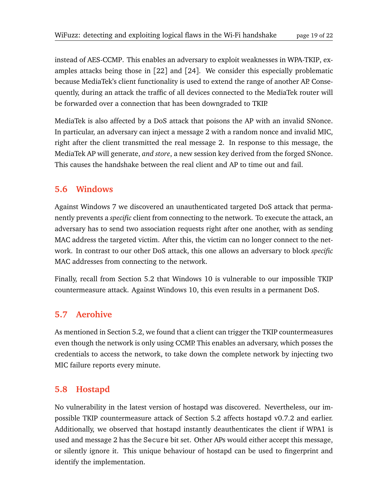instead of AES-CCMP. This enables an adversary to exploit weaknesses in WPA-TKIP, examples attacks being those in [[22](#page-20-13)] and [[24](#page-21-5)]. We consider this especially problematic because MediaTek's client functionality is used to extend the range of another AP. Consequently, during an attack the traffic of all devices connected to the MediaTek router will be forwarded over a connection that has been downgraded to TKIP.

MediaTek is also affected by a DoS attack that poisons the AP with an invalid SNonce. In particular, an adversary can inject a message 2 with a random nonce and invalid MIC, right after the client transmitted the real message 2. In response to this message, the MediaTek AP will generate, *and store*, a new session key derived from the forged SNonce. This causes the handshake between the real client and AP to time out and fail.

### **5.6 Windows**

Against Windows 7 we discovered an unauthenticated targeted DoS attack that permanently prevents a *specific* client from connecting to the network. To execute the attack, an adversary has to send two association requests right after one another, with as sending MAC address the targeted victim. After this, the victim can no longer connect to the network. In contrast to our other DoS attack, this one allows an adversary to block *specific* MAC addresses from connecting to the network.

Finally, recall from Section [5.2](#page-12-1) that Windows 10 is vulnerable to our impossible TKIP countermeasure attack. Against Windows 10, this even results in a permanent DoS.

## **5.7 Aerohive**

As mentioned in Section [5.2,](#page-12-1) we found that a client can trigger the TKIP countermeasures even though the network is only using CCMP. This enables an adversary, which posses the credentials to access the network, to take down the complete network by injecting two MIC failure reports every minute.

## **5.8 Hostapd**

No vulnerability in the latest version of hostapd was discovered. Nevertheless, our impossible TKIP countermeasure attack of Section [5.2](#page-12-1) affects hostapd v0.7.2 and earlier. Additionally, we observed that hostapd instantly deauthenticates the client if WPA1 is used and message 2 has the Secure bit set. Other APs would either accept this message, or silently ignore it. This unique behaviour of hostapd can be used to fingerprint and identify the implementation.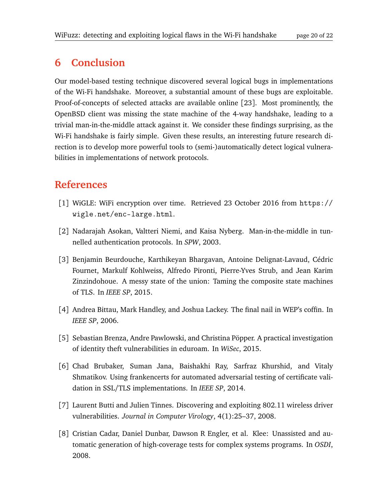# **6 Conclusion**

Our model-based testing technique discovered several logical bugs in implementations of the Wi-Fi handshake. Moreover, a substantial amount of these bugs are exploitable. Proof-of-concepts of selected attacks are available online [[23](#page-21-4)]. Most prominently, the OpenBSD client was missing the state machine of the 4-way handshake, leading to a trivial man-in-the-middle attack against it. We consider these findings surprising, as the Wi-Fi handshake is fairly simple. Given these results, an interesting future research direction is to develop more powerful tools to (semi-)automatically detect logical vulnerabilities in implementations of network protocols.

# **References**

- <span id="page-19-0"></span>[1] WiGLE: WiFi encryption over time. Retrieved 23 October 2016 from [https://](https://wigle.net/enc-large.html) [wigle.net/enc-large.html](https://wigle.net/enc-large.html).
- <span id="page-19-5"></span>[2] Nadarajah Asokan, Valtteri Niemi, and Kaisa Nyberg. Man-in-the-middle in tunnelled authentication protocols. In *SPW*, 2003.
- <span id="page-19-3"></span>[3] Benjamin Beurdouche, Karthikeyan Bhargavan, Antoine Delignat-Lavaud, Cédric Fournet, Markulf Kohlweiss, Alfredo Pironti, Pierre-Yves Strub, and Jean Karim Zinzindohoue. A messy state of the union: Taming the composite state machines of TLS. In *IEEE SP*, 2015.
- <span id="page-19-4"></span>[4] Andrea Bittau, Mark Handley, and Joshua Lackey. The final nail in WEP's coffin. In *IEEE SP*, 2006.
- <span id="page-19-6"></span>[5] Sebastian Brenza, Andre Pawlowski, and Christina Pöpper. A practical investigation of identity theft vulnerabilities in eduroam. In *WiSec*, 2015.
- <span id="page-19-7"></span>[6] Chad Brubaker, Suman Jana, Baishakhi Ray, Sarfraz Khurshid, and Vitaly Shmatikov. Using frankencerts for automated adversarial testing of certificate validation in SSL/TLS implementations. In *IEEE SP*, 2014.
- <span id="page-19-1"></span>[7] Laurent Butti and Julien Tinnes. Discovering and exploiting 802.11 wireless driver vulnerabilities. *Journal in Computer Virology*, 4(1):25–37, 2008.
- <span id="page-19-2"></span>[8] Cristian Cadar, Daniel Dunbar, Dawson R Engler, et al. Klee: Unassisted and automatic generation of high-coverage tests for complex systems programs. In *OSDI*, 2008.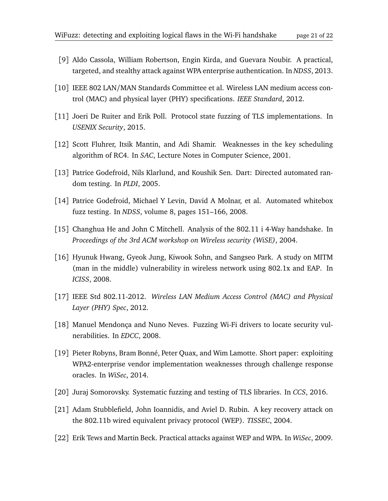- <span id="page-20-7"></span>[9] Aldo Cassola, William Robertson, Engin Kirda, and Guevara Noubir. A practical, targeted, and stealthy attack against WPA enterprise authentication. In *NDSS*, 2013.
- <span id="page-20-10"></span>[10] IEEE 802 LAN/MAN Standards Committee et al. Wireless LAN medium access control (MAC) and physical layer (PHY) specifications. *IEEE Standard*, 2012.
- <span id="page-20-3"></span>[11] Joeri De Ruiter and Erik Poll. Protocol state fuzzing of TLS implementations. In *USENIX Security*, 2015.
- <span id="page-20-4"></span>[12] Scott Fluhrer, Itsik Mantin, and Adi Shamir. Weaknesses in the key scheduling algorithm of RC4. In *SAC*, Lecture Notes in Computer Science, 2001.
- <span id="page-20-1"></span>[13] Patrice Godefroid, Nils Klarlund, and Koushik Sen. Dart: Directed automated random testing. In *PLDI*, 2005.
- <span id="page-20-2"></span>[14] Patrice Godefroid, Michael Y Levin, David A Molnar, et al. Automated whitebox fuzz testing. In *NDSS*, volume 8, pages 151–166, 2008.
- <span id="page-20-11"></span>[15] Changhua He and John C Mitchell. Analysis of the 802.11 i 4-Way handshake. In *Proceedings of the 3rd ACM workshop on Wireless security (WiSE)*, 2004.
- <span id="page-20-6"></span>[16] Hyunuk Hwang, Gyeok Jung, Kiwook Sohn, and Sangseo Park. A study on MITM (man in the middle) vulnerability in wireless network using 802.1x and EAP. In *ICISS*, 2008.
- <span id="page-20-12"></span>[17] IEEE Std 802.11-2012. *Wireless LAN Medium Access Control (MAC) and Physical Layer (PHY) Spec*, 2012.
- <span id="page-20-0"></span>[18] Manuel Mendonça and Nuno Neves. Fuzzing Wi-Fi drivers to locate security vulnerabilities. In *EDCC*, 2008.
- <span id="page-20-8"></span>[19] Pieter Robyns, Bram Bonné, Peter Quax, and Wim Lamotte. Short paper: exploiting WPA2-enterprise vendor implementation weaknesses through challenge response oracles. In *WiSec*, 2014.
- <span id="page-20-9"></span>[20] Juraj Somorovsky. Systematic fuzzing and testing of TLS libraries. In *CCS*, 2016.
- <span id="page-20-5"></span>[21] Adam Stubblefield, John Ioannidis, and Aviel D. Rubin. A key recovery attack on the 802.11b wired equivalent privacy protocol (WEP). *TISSEC*, 2004.
- <span id="page-20-13"></span>[22] Erik Tews and Martin Beck. Practical attacks against WEP and WPA. In *WiSec*, 2009.